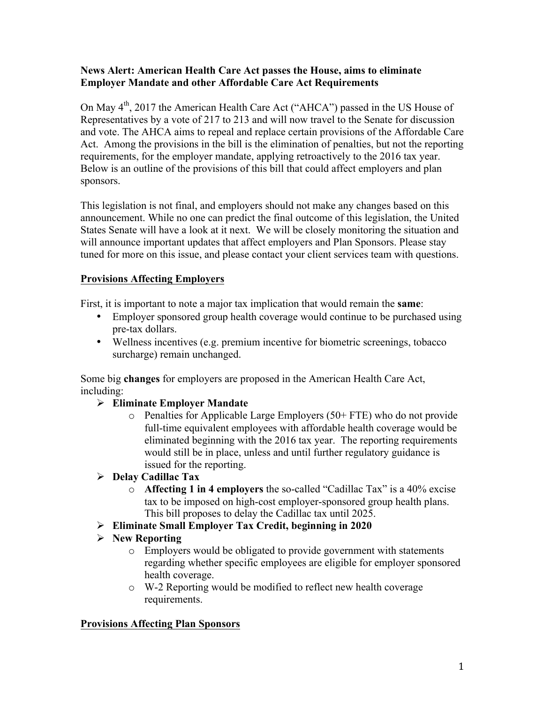### **News Alert: American Health Care Act passes the House, aims to eliminate Employer Mandate and other Affordable Care Act Requirements**

On May 4<sup>th</sup>, 2017 the American Health Care Act ("AHCA") passed in the US House of Representatives by a vote of 217 to 213 and will now travel to the Senate for discussion and vote. The AHCA aims to repeal and replace certain provisions of the Affordable Care Act. Among the provisions in the bill is the elimination of penalties, but not the reporting requirements, for the employer mandate, applying retroactively to the 2016 tax year. Below is an outline of the provisions of this bill that could affect employers and plan sponsors.

This legislation is not final, and employers should not make any changes based on this announcement. While no one can predict the final outcome of this legislation, the United States Senate will have a look at it next. We will be closely monitoring the situation and will announce important updates that affect employers and Plan Sponsors. Please stay tuned for more on this issue, and please contact your client services team with questions.

## **Provisions Affecting Employers**

First, it is important to note a major tax implication that would remain the **same**:

- Employer sponsored group health coverage would continue to be purchased using pre-tax dollars.
- Wellness incentives (e.g. premium incentive for biometric screenings, tobacco surcharge) remain unchanged.

Some big **changes** for employers are proposed in the American Health Care Act, including:

### Ø **Eliminate Employer Mandate**

o Penalties for Applicable Large Employers (50+ FTE) who do not provide full-time equivalent employees with affordable health coverage would be eliminated beginning with the 2016 tax year. The reporting requirements would still be in place, unless and until further regulatory guidance is issued for the reporting.

### Ø **Delay Cadillac Tax**

- o **Affecting 1 in 4 employers** the so-called "Cadillac Tax" is a 40% excise tax to be imposed on high-cost employer-sponsored group health plans. This bill proposes to delay the Cadillac tax until 2025.
- Ø **Eliminate Small Employer Tax Credit, beginning in 2020**

# Ø **New Reporting**

- o Employers would be obligated to provide government with statements regarding whether specific employees are eligible for employer sponsored health coverage.
- o W-2 Reporting would be modified to reflect new health coverage requirements.

### **Provisions Affecting Plan Sponsors**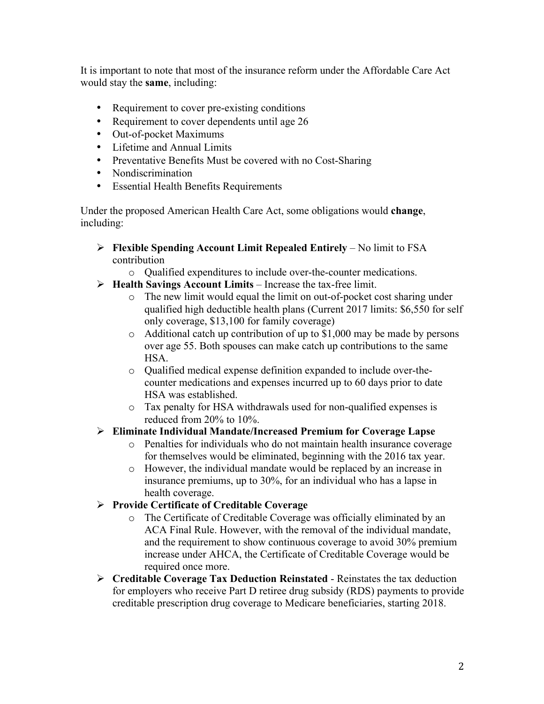It is important to note that most of the insurance reform under the Affordable Care Act would stay the **same**, including:

- Requirement to cover pre-existing conditions
- Requirement to cover dependents until age 26
- Out-of-pocket Maximums
- Lifetime and Annual Limits
- Preventative Benefits Must be covered with no Cost-Sharing
- Nondiscrimination
- Essential Health Benefits Requirements

Under the proposed American Health Care Act, some obligations would **change**, including:

- Ø **Flexible Spending Account Limit Repealed Entirely** No limit to FSA contribution
	- o Qualified expenditures to include over-the-counter medications.
- Ø **Health Savings Account Limits** Increase the tax-free limit.
	- o The new limit would equal the limit on out-of-pocket cost sharing under qualified high deductible health plans (Current 2017 limits: \$6,550 for self only coverage, \$13,100 for family coverage)
	- o Additional catch up contribution of up to \$1,000 may be made by persons over age 55. Both spouses can make catch up contributions to the same HSA.
	- o Qualified medical expense definition expanded to include over-thecounter medications and expenses incurred up to 60 days prior to date HSA was established.
	- o Tax penalty for HSA withdrawals used for non-qualified expenses is reduced from 20% to 10%.

### Ø **Eliminate Individual Mandate/Increased Premium for Coverage Lapse**

- o Penalties for individuals who do not maintain health insurance coverage for themselves would be eliminated, beginning with the 2016 tax year.
- o However, the individual mandate would be replaced by an increase in insurance premiums, up to 30%, for an individual who has a lapse in health coverage.
- Ø **Provide Certificate of Creditable Coverage**
	- o The Certificate of Creditable Coverage was officially eliminated by an ACA Final Rule. However, with the removal of the individual mandate, and the requirement to show continuous coverage to avoid 30% premium increase under AHCA, the Certificate of Creditable Coverage would be required once more.
- Ø **Creditable Coverage Tax Deduction Reinstated** Reinstates the tax deduction for employers who receive Part D retiree drug subsidy (RDS) payments to provide creditable prescription drug coverage to Medicare beneficiaries, starting 2018.